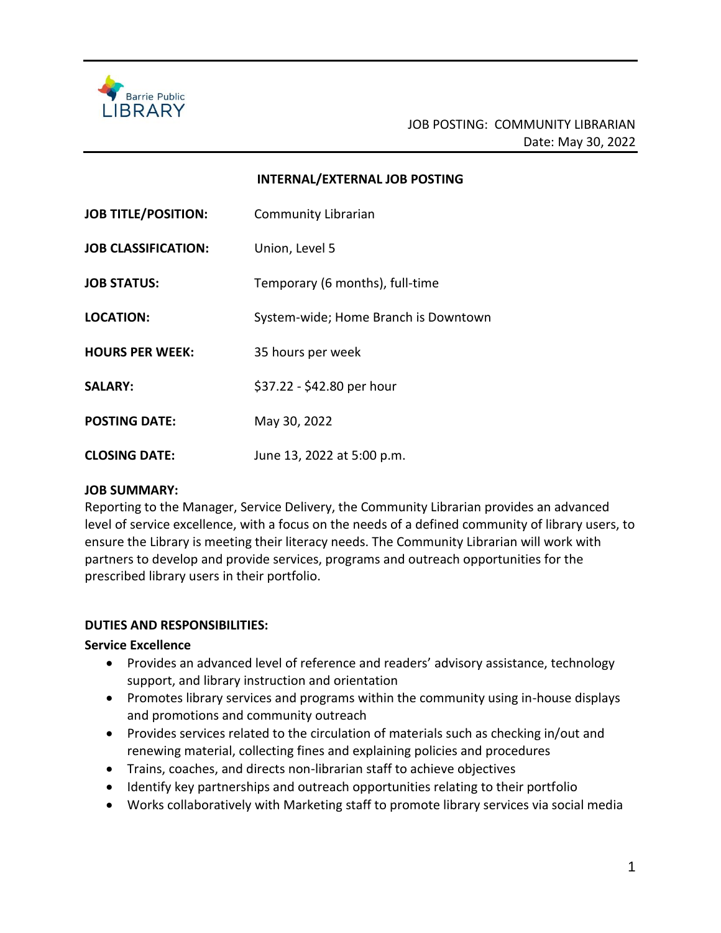

#### **INTERNAL/EXTERNAL JOB POSTING**

| <b>JOB TITLE/POSITION:</b> | <b>Community Librarian</b>           |
|----------------------------|--------------------------------------|
| <b>JOB CLASSIFICATION:</b> | Union, Level 5                       |
| <b>JOB STATUS:</b>         | Temporary (6 months), full-time      |
| <b>LOCATION:</b>           | System-wide; Home Branch is Downtown |
| <b>HOURS PER WEEK:</b>     | 35 hours per week                    |
| <b>SALARY:</b>             | \$37.22 - \$42.80 per hour           |
| <b>POSTING DATE:</b>       | May 30, 2022                         |
| <b>CLOSING DATE:</b>       | June 13, 2022 at 5:00 p.m.           |

#### **JOB SUMMARY:**

Reporting to the Manager, Service Delivery, the Community Librarian provides an advanced level of service excellence, with a focus on the needs of a defined community of library users, to ensure the Library is meeting their literacy needs. The Community Librarian will work with partners to develop and provide services, programs and outreach opportunities for the prescribed library users in their portfolio.

### **DUTIES AND RESPONSIBILITIES:**

### **Service Excellence**

- Provides an advanced level of reference and readers' advisory assistance, technology support, and library instruction and orientation
- Promotes library services and programs within the community using in-house displays and promotions and community outreach
- Provides services related to the circulation of materials such as checking in/out and renewing material, collecting fines and explaining policies and procedures
- Trains, coaches, and directs non-librarian staff to achieve objectives
- Identify key partnerships and outreach opportunities relating to their portfolio
- Works collaboratively with Marketing staff to promote library services via social media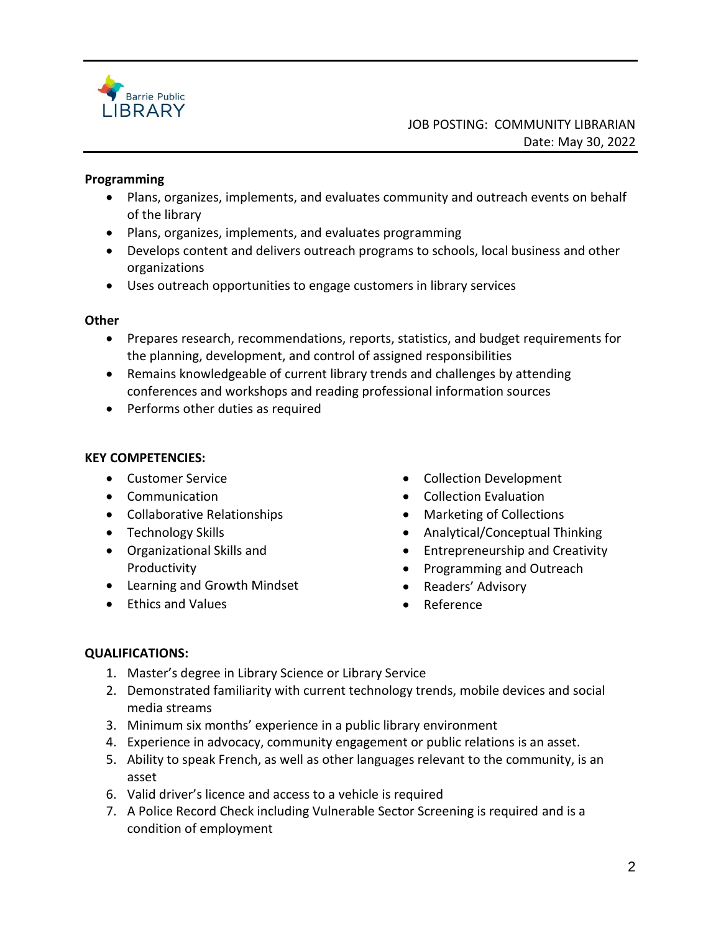

## **Programming**

- Plans, organizes, implements, and evaluates community and outreach events on behalf of the library
- Plans, organizes, implements, and evaluates programming
- Develops content and delivers outreach programs to schools, local business and other organizations
- Uses outreach opportunities to engage customers in library services

## **Other**

- Prepares research, recommendations, reports, statistics, and budget requirements for the planning, development, and control of assigned responsibilities
- Remains knowledgeable of current library trends and challenges by attending conferences and workshops and reading professional information sources
- Performs other duties as required

## **KEY COMPETENCIES:**

- Customer Service
- Communication
- Collaborative Relationships
- Technology Skills
- Organizational Skills and Productivity
- Learning and Growth Mindset
- Ethics and Values
- Collection Development
- Collection Evaluation
- Marketing of Collections
- Analytical/Conceptual Thinking
- Entrepreneurship and Creativity
- Programming and Outreach
- Readers' Advisory
- Reference

# **QUALIFICATIONS:**

- 1. Master's degree in Library Science or Library Service
- 2. Demonstrated familiarity with current technology trends, mobile devices and social media streams
- 3. Minimum six months' experience in a public library environment
- 4. Experience in advocacy, community engagement or public relations is an asset.
- 5. Ability to speak French, as well as other languages relevant to the community, is an asset
- 6. Valid driver's licence and access to a vehicle is required
- 7. A Police Record Check including Vulnerable Sector Screening is required and is a condition of employment